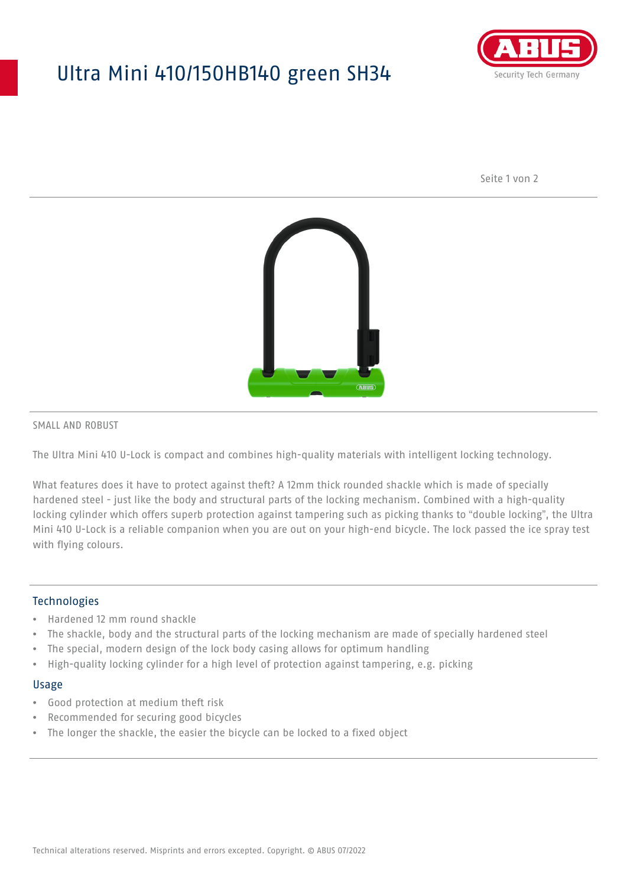## Ultra Mini 410/150HB140 green SH34



Seite 1 von 2



SMALL AND ROBUST

The Ultra Mini 410 U-Lock is compact and combines high-quality materials with intelligent locking technology.

What features does it have to protect against theft? A 12mm thick rounded shackle which is made of specially hardened steel - just like the body and structural parts of the locking mechanism. Combined with a high-quality locking cylinder which offers superb protection against tampering such as picking thanks to "double locking", the Ultra Mini 410 U-Lock is a reliable companion when you are out on your high-end bicycle. The lock passed the ice spray test with flying colours.

#### **Technologies**

- Hardened 12 mm round shackle
- The shackle, body and the structural parts of the locking mechanism are made of specially hardened steel
- The special, modern design of the lock body casing allows for optimum handling
- High-quality locking cylinder for a high level of protection against tampering, e.g. picking

#### Usage

- Good protection at medium theft risk
- Recommended for securing good bicycles
- The longer the shackle, the easier the bicycle can be locked to a fixed object